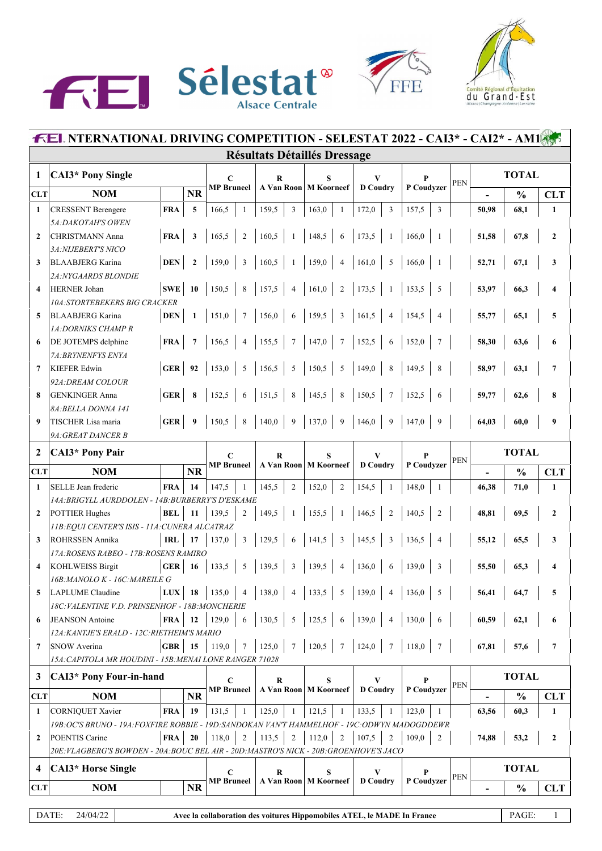





|                         | <b>FEL NTERNATIONAL DRIVING COMPETITION - SELESTAT 2022 - CAI3* - CAI2* - AM1855</b>          |            |              |                                  |                 |                          |                                     |                                                                         |                         |            |                          |               |                  |
|-------------------------|-----------------------------------------------------------------------------------------------|------------|--------------|----------------------------------|-----------------|--------------------------|-------------------------------------|-------------------------------------------------------------------------|-------------------------|------------|--------------------------|---------------|------------------|
|                         |                                                                                               |            |              |                                  |                 |                          | <b>Résultats Détaillés Dressage</b> |                                                                         |                         |            |                          |               |                  |
| 1                       | <b>CAI3*</b> Pony Single                                                                      |            |              | $\mathbf C$<br><b>MP</b> Bruneel |                 | $\bf R$                  | S<br>A Van Roon   M Koorneef        | V                                                                       | P                       | <b>PEN</b> |                          | <b>TOTAL</b>  |                  |
| <b>CLT</b>              | <b>NOM</b>                                                                                    |            | <b>NR</b>    |                                  |                 |                          |                                     | <b>D</b> Coudry                                                         | P Coudyzer              |            |                          | $\frac{0}{0}$ | <b>CLT</b>       |
| $\mathbf{1}$            | <b>CRESSENT Berengere</b>                                                                     | <b>FRA</b> | 5            | 166,5                            | 1               | 159,5<br>$\mathfrak{Z}$  | 163,0<br>1                          | 172,0<br>$\overline{3}$                                                 | 157,5<br>3              |            | 50,98                    | 68,1          | $\mathbf{1}$     |
|                         | 5A: DAKOTAH'S OWEN                                                                            |            |              |                                  |                 |                          |                                     |                                                                         |                         |            |                          |               |                  |
| $\mathbf{2}$            | <b>CHRISTMANN Anna</b>                                                                        | <b>FRA</b> | 3            | 165,5                            | $\overline{2}$  | 160,5                    | 148,5<br>6                          | 173,5                                                                   | 166,0                   |            | 51,58                    | 67,8          | $\mathbf{2}$     |
|                         | 3A: NIJEBERT'S NICO                                                                           |            |              |                                  |                 |                          |                                     |                                                                         |                         |            |                          |               |                  |
| 3                       | <b>BLAABJERG Karina</b><br>2A: NYGAARDS BLONDIE                                               | <b>DEN</b> | $\mathbf{2}$ | 159,0                            | 3               | 160,5<br>-1              | 159,0<br>$\overline{4}$             | 161,0<br>5                                                              | 166,0                   |            | 52,71                    | 67,1          | 3                |
| $\overline{\mathbf{4}}$ | <b>HERNER Johan</b>                                                                           | <b>SWE</b> | 10           | 150,5                            | 8               | 157,5<br>$\overline{4}$  | 161,0<br>2                          | 173,5                                                                   | 153,5<br>5              |            | 53,97                    | 66,3          | 4                |
|                         | <b>10A:STORTEBEKERS BIG CRACKER</b>                                                           |            |              |                                  |                 |                          |                                     |                                                                         |                         |            |                          |               |                  |
| 5                       | <b>BLAABJERG Karina</b>                                                                       | <b>DEN</b> | $\mathbf{1}$ | 151,0                            |                 | 156,0<br>6               | 159,5<br>3                          | 161,5<br>$\overline{4}$                                                 | 154,5                   |            | 55,77                    | 65,1          | 5                |
|                         | 1A: DORNIKS CHAMP R                                                                           |            |              |                                  |                 |                          |                                     |                                                                         |                         |            |                          |               |                  |
| 6                       | DE JOTEMPS delphine                                                                           | <b>FRA</b> |              | 156.5                            | $\overline{4}$  | 155,5<br>7               | 147,0<br>$\overline{7}$             | 152,5<br>6                                                              | 152,0<br>7              |            | 58,30                    | 63,6          | 6                |
|                         | 7A: BRYNENFYS ENYA                                                                            |            |              |                                  |                 |                          |                                     |                                                                         |                         |            |                          |               |                  |
| $\overline{7}$          | <b>KIEFER Edwin</b>                                                                           | <b>GER</b> | 92           | 153,0                            | 5               | 156,5<br>5               | 150,5<br>$\overline{\phantom{0}}$   | 149,0<br>$\,$ 8 $\,$                                                    | 149,5<br>8              |            | 58,97                    | 63,1          | $\overline{7}$   |
|                         | 92A: DREAM COLOUR                                                                             |            |              |                                  |                 |                          |                                     |                                                                         |                         |            |                          |               |                  |
| 8                       | <b>GENKINGER Anna</b>                                                                         | <b>GER</b> |              | 152,5                            | 6               | 151,5<br>$\,$ 8 $\,$     | 145,5<br>$\overline{\phantom{0}8}$  | 150,5<br>$7\phantom{.0}$                                                | 152,5<br>6              |            | 59,77                    | 62,6          | 8                |
| 9                       | 8A: BELLA DONNA 141                                                                           | <b>GER</b> |              | 150,5                            | 8               | 140,0<br>9               | 137,0<br>9                          | 146,0<br>9                                                              | 147,0<br>9              |            | 64,03                    |               |                  |
|                         | TISCHER Lisa maria<br>9A: GREAT DANCER B                                                      |            |              |                                  |                 |                          |                                     |                                                                         |                         |            |                          | 60,0          | 9                |
|                         |                                                                                               |            |              |                                  |                 |                          |                                     |                                                                         |                         |            |                          |               |                  |
| $\overline{2}$          | <b>CAI3*</b> Pony Pair                                                                        |            |              | $\mathbf C$<br><b>MP</b> Bruneel |                 | R                        | S<br>A Van Roon   M Koorneef        | V<br><b>D</b> Coudry                                                    | P<br>P Coudvzer         | PEN        |                          | <b>TOTAL</b>  |                  |
| <b>CLT</b>              | <b>NOM</b>                                                                                    |            | <b>NR</b>    |                                  |                 |                          |                                     |                                                                         |                         |            | $\blacksquare$           | $\frac{0}{0}$ | <b>CLT</b>       |
| $\mathbf{1}$            | SELLE Jean frederic                                                                           | <b>FRA</b> | 14           | 147,5                            | -1              | 145,5<br>$\overline{2}$  | $\overline{2}$<br>152,0             | 154,5<br>$\mathbf{1}$                                                   | 148,0<br>$\mathbf{1}$   |            | 46,38                    | 71,0          | 1                |
|                         | 14A: BRIGYLL AURDDOLEN - 14B: BURBERRY'S D'ESKAME                                             |            |              |                                  |                 |                          |                                     |                                                                         |                         |            |                          |               |                  |
| $\overline{2}$          | <b>POTTIER Hughes</b>                                                                         | <b>BEL</b> | 11           | 139,5                            | $\overline{2}$  | 149,5<br>-1              | 155,5<br>-1                         | 146,5<br>$\overline{2}$                                                 | 140,5<br>$\overline{2}$ |            | 48,81                    | 69,5          | $\mathbf{2}$     |
| 3                       | 11B: EQUI CENTER'S ISIS - 11A: CUNERA ALCATRAZ<br><b>ROHRSSEN Annika</b>                      | <b>IRL</b> | 17           | 137,0                            | $\mathbf{3}$    | 129,5                    | 141,5<br>$\overline{\mathbf{3}}$    | 145,5<br>3                                                              | 136,5<br>$\overline{4}$ |            |                          | 65,5          |                  |
|                         | 17A: ROSENS RABEO - 17B: ROSENS RAMIRO                                                        |            |              |                                  |                 | 6                        |                                     |                                                                         |                         |            | 55,12                    |               | 3                |
| 4                       | <b>KOHLWEISS Birgit</b>                                                                       | <b>GER</b> | -16          | 133,5                            | 5               | 139,5<br>$\mathfrak{Z}$  | 139,5<br>$\overline{4}$             | 136,0<br>6                                                              | 139,0<br>3              |            | 55,50                    | 65,3          | 4                |
|                         | 16B: MANOLO K - 16C: MAREILE G                                                                |            |              |                                  |                 |                          |                                     |                                                                         |                         |            |                          |               |                  |
| 5                       | <b>LAPLUME</b> Claudine                                                                       | <b>LUX</b> | 18           | 135,0                            | $\overline{4}$  | 138,0<br>$\overline{4}$  | 5<br>133,5                          | 139,0<br>4                                                              | 136,0<br>5              |            | 56,41                    | 64,7          | 5                |
|                         | 18C:VALENTINE V.D. PRINSENHOF - 18B:MONCHERIE                                                 |            |              |                                  |                 |                          |                                     |                                                                         |                         |            |                          |               |                  |
| 6                       | <b>JEANSON</b> Antoine                                                                        | <b>FRA</b> | 12           | 129,0                            | 6               | 130,5<br>5               | 125,5<br>- 6                        | 139,0<br>$\overline{4}$                                                 | 130,0<br>6              |            | 60,59                    | 62,1          | 6                |
|                         | 12A: KANTJE'S ERALD - 12C: RIETHEIM'S MARIO                                                   |            |              |                                  |                 |                          |                                     |                                                                         |                         |            |                          |               |                  |
| 7                       | SNOW Averina                                                                                  | <b>GBR</b> | 15           | 119,0                            | $7\phantom{.0}$ | 125,0<br>$7\phantom{.0}$ | 120,5<br>$7\phantom{.0}$            | 124,0<br>$7\phantom{.0}$                                                | 118,0<br>$\overline{7}$ |            | 67,81                    | 57,6          | $\overline{7}$   |
|                         | 15A: CAPITOLA MR HOUDINI - 15B:MENAI LONE RANGER 71028                                        |            |              |                                  |                 |                          |                                     |                                                                         |                         |            |                          |               |                  |
| 3                       | <b>CAI3*</b> Pony Four-in-hand                                                                |            |              | C                                |                 | R                        | S                                   | V                                                                       | P                       | <b>PEN</b> |                          | <b>TOTAL</b>  |                  |
| <b>CLT</b>              | <b>NOM</b>                                                                                    |            | <b>NR</b>    | <b>MP</b> Bruneel                |                 |                          | A Van Roon   M Koorneef             | <b>D</b> Coudry                                                         | P Coudyzer              |            | $\overline{\phantom{a}}$ | $\frac{0}{0}$ | <b>CLT</b>       |
| 1                       | <b>CORNIQUET Xavier</b>                                                                       | <b>FRA</b> | 19           | 131,5                            | -1              | 125,0<br>-1              | 121,5<br>-1                         | 133,5<br>1                                                              | 123,0<br>-1             |            | 63,56                    | 60,3          | $\mathbf{1}$     |
|                         | 19B: OC'S BRUNO - 19A: FOXFIRE ROBBIE - 19D: SANDOKAN VAN'T HAMMELHOF - 19C: ODWYN MADOGDDEWR |            |              |                                  |                 |                          |                                     |                                                                         |                         |            |                          |               |                  |
| $\mathbf{2}$            | POENTIS Carine                                                                                | <b>FRA</b> | 20           | 118,0                            | 2               | 113,5<br>2               | 112,0<br>$\overline{2}$             | 107,5<br>$\mathfrak{2}$                                                 | 109,0<br>$\mathfrak{2}$ |            | 74,88                    | 53,2          | $\boldsymbol{2}$ |
|                         | 20E: VLAGBERG'S BOWDEN - 20A: BOUC BEL AIR - 20D: MASTRO'S NICK - 20B: GROENHOVE'S JACO       |            |              |                                  |                 |                          |                                     |                                                                         |                         |            |                          |               |                  |
| 4                       | <b>CAI3*</b> Horse Single                                                                     |            |              | C                                |                 | R                        | S                                   | V                                                                       | P                       | <b>PEN</b> |                          | <b>TOTAL</b>  |                  |
| <b>CLT</b>              | <b>NOM</b>                                                                                    |            | <b>NR</b>    | <b>MP Bruneel</b>                |                 |                          | A Van Roon   M Koorneef             | <b>D</b> Coudry                                                         | P Coudyzer              |            |                          | $\frac{0}{0}$ | <b>CLT</b>       |
|                         |                                                                                               |            |              |                                  |                 |                          |                                     |                                                                         |                         |            |                          |               |                  |
|                         | DATE:<br>24/04/22                                                                             |            |              |                                  |                 |                          |                                     | Avec la collaboration des voitures Hippomobiles ATEL, le MADE In France |                         |            |                          | PAGE:         | $\mathbf{1}$     |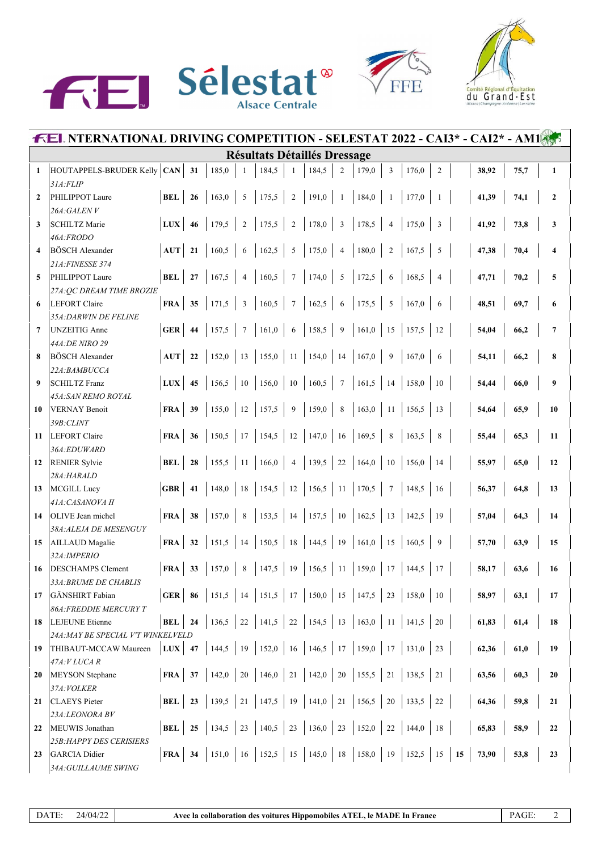





|                | <b>FEL NTERNATIONAL DRIVING COMPETITION - SELESTAT 2022 - CAI3* - CAI2* - AM1</b> |                            |    |            |                |                                                                                     |                |            |                         |       |                |       |                |  |       |      |                         |
|----------------|-----------------------------------------------------------------------------------|----------------------------|----|------------|----------------|-------------------------------------------------------------------------------------|----------------|------------|-------------------------|-------|----------------|-------|----------------|--|-------|------|-------------------------|
|                |                                                                                   |                            |    |            |                | <b>Résultats Détaillés Dressage</b>                                                 |                |            |                         |       |                |       |                |  |       |      |                         |
| 1              | HOUTAPPELS-BRUDER Kelly CAN                                                       |                            | 31 | 185,0      | 1              | 184,5                                                                               | -1             | 184,5      | $\overline{c}$          | 179,0 | 3              | 176,0 | $\overline{2}$ |  | 38,92 | 75,7 | $\mathbf{1}$            |
|                | 31A:FLIP                                                                          |                            |    |            |                |                                                                                     |                |            |                         |       |                |       |                |  |       |      |                         |
| $\mathbf{2}$   | PHILIPPOT Laure                                                                   | <b>BEL</b>                 | 26 | 163,0      | 5              | 175,5                                                                               | $\overline{2}$ | 191,0      | -1                      | 184,0 | $\mathbf{1}$   | 177,0 |                |  | 41,39 | 74,1 | $\mathbf{2}$            |
|                | 26A:GALENV                                                                        |                            |    |            |                |                                                                                     |                |            |                         |       |                |       |                |  |       |      |                         |
| 3              | <b>SCHILTZ Marie</b>                                                              | LUX                        | 46 | 179,5      | $\overline{2}$ | 175,5                                                                               | $\overline{2}$ | 178,0      | $\overline{\mathbf{3}}$ | 178,5 | $\overline{4}$ | 175,0 | 3              |  | 41,92 | 73,8 | 3                       |
|                | 46A:FRODO<br><b>BÖSCH</b> Alexander                                               |                            |    |            |                |                                                                                     |                |            |                         |       |                |       |                |  |       |      |                         |
| 4              | 21A: FINESSE 374                                                                  | <b>AUT</b>                 | 21 | 160,5      | 6              | 162,5                                                                               | 5              | 175,0      | $\overline{4}$          | 180,0 | $\overline{2}$ | 167,5 | 5              |  | 47,38 | 70,4 | $\overline{\mathbf{4}}$ |
| 5              | PHILIPPOT Laure                                                                   | <b>BEL</b>                 | 27 | 167,5      | $\overline{4}$ | 160,5                                                                               | $\overline{7}$ | 174,0      | 5                       | 172,5 | 6              | 168,5 | $\overline{4}$ |  | 47,71 | 70,2 | 5                       |
|                | 27A: QC DREAM TIME BROZIE                                                         |                            |    |            |                |                                                                                     |                |            |                         |       |                |       |                |  |       |      |                         |
| 6              | <b>LEFORT Claire</b>                                                              | <b>FRA</b>                 | 35 | 171,5      | 3              | 160,5                                                                               | $\overline{7}$ | 162,5      | 6                       | 175,5 | 5              | 167,0 | 6              |  | 48,51 | 69,7 | 6                       |
|                | 35A: DARWIN DE FELINE                                                             |                            |    |            |                |                                                                                     |                |            |                         |       |                |       |                |  |       |      |                         |
| $\overline{7}$ | <b>UNZEITIG Anne</b>                                                              | <b>GER</b>                 | 44 | 157,5      | $\overline{7}$ | 161,0                                                                               | 6              | 158,5      | 9                       | 161,0 | 15             | 157,5 | 12             |  | 54,04 | 66,2 | $\overline{7}$          |
|                | 44A: DE NIRO 29                                                                   |                            |    |            |                |                                                                                     |                |            |                         |       |                |       |                |  |       |      |                         |
| 8              | BÖSCH Alexander                                                                   | AUT                        | 22 | 152,0      | 13             | $155,0$ 11                                                                          |                | $154,0$ 14 |                         | 167,0 | 9              | 167,0 | 6              |  | 54,11 | 66,2 | 8                       |
|                | 22A:BAMBUCCA                                                                      |                            |    |            |                |                                                                                     |                |            |                         |       |                |       |                |  |       |      |                         |
| 9              | <b>SCHILTZ Franz</b>                                                              | <b>LUX</b>                 | 45 | 156.5      | 10             | 156,0                                                                               | $10$           | 160,5      | $7\phantom{.0}$         | 161,5 | 14             | 158,0 | 10             |  | 54,44 | 66,0 | 9                       |
|                | 45A: SAN REMO ROYAL                                                               |                            |    |            |                |                                                                                     |                |            |                         |       |                |       |                |  |       |      |                         |
| 10             | <b>VERNAY Benoit</b>                                                              | <b>FRA</b>                 | 39 | 155.0      | 12             | 157,5                                                                               | $\overline{9}$ | 159,0      | $\,8\,$                 | 163,0 | <sup>11</sup>  | 156,5 | 13             |  | 54,64 | 65,9 | 10                      |
|                | 39B: CLINT                                                                        |                            |    |            |                |                                                                                     |                |            |                         |       |                |       |                |  |       |      |                         |
| 11             | <b>LEFORT Claire</b>                                                              | <b>FRA</b>                 | 36 | 150,5      | 17             | 154,5                                                                               | 12             | 147,0      | 16                      | 169,5 | 8              | 163,5 | 8              |  | 55,44 | 65,3 | 11                      |
| 12             | 36A:EDUWARD<br><b>RENIER Sylvie</b>                                               | <b>BEL</b>                 | 28 | 155,5      | -11            | 166,0                                                                               | $\overline{4}$ | 139,5      | 22                      | 164,0 | 10             | 156,0 | 14             |  | 55,97 | 65,0 | 12                      |
|                | 28A:HARALD                                                                        |                            |    |            |                |                                                                                     |                |            |                         |       |                |       |                |  |       |      |                         |
| 13             | <b>MCGILL Lucy</b>                                                                | <b>GBR</b>                 | 41 | 148,0      | 18             | $154,5$   12                                                                        |                | $156,5$ 11 |                         | 170,5 | $\overline{7}$ | 148,5 | 16             |  | 56,37 | 64,8 | 13                      |
|                | 41A: CASANOVA II                                                                  |                            |    |            |                |                                                                                     |                |            |                         |       |                |       |                |  |       |      |                         |
| 14             | OLIVE Jean michel                                                                 | <b>FRA</b>                 | 38 | 157,0      | 8              | 153,5                                                                               | $\vert$ 14     | $157,5$ 10 |                         | 162,5 | 13             | 142,5 | 19             |  | 57,04 | 64,3 | 14                      |
|                | 38A: ALEJA DE MESENGUY                                                            |                            |    |            |                |                                                                                     |                |            |                         |       |                |       |                |  |       |      |                         |
| 15             | AILLAUD Magalie                                                                   | <b>FRA</b>                 | 32 | 151,5      | 14             | 150,5                                                                               | $\vert$ 18     | $144,5$ 19 |                         | 161,0 | 15             | 160,5 | 9              |  | 57,70 | 63,9 | 15                      |
|                | 32A: IMPERIO                                                                      |                            |    |            |                |                                                                                     |                |            |                         |       |                |       |                |  |       |      |                         |
| 16             | <b>DESCHAMPS Clement</b>                                                          | <b>FRA</b>                 | 33 | 157,0      |                | 147,5                                                                               | 19             | $156,5$ 11 |                         | 159,0 | 17             | 144,5 | 17             |  | 58,17 | 63,6 | 16                      |
|                | 33A: BRUME DE CHABLIS                                                             |                            |    |            |                |                                                                                     |                |            |                         |       |                |       |                |  |       |      |                         |
| 17             | <b>GÄNSHIRT</b> Fabian                                                            | GER $86$                   |    |            |                | $151,5$   14   151,5   17   150,0   15   147,5   23                                 |                |            |                         |       |                | 158,0 | 10             |  | 58,97 | 63,1 | 17                      |
|                | <b>86A: FREDDIE MERCURY T</b>                                                     |                            |    |            |                |                                                                                     |                |            |                         |       |                |       |                |  |       |      |                         |
| 18             | <b>LEJEUNE</b> Etienne                                                            | $BEL$   24                 |    | $136,5$ 22 |                | 141,5   22   154,5   13   163,0   11   141,5   20                                   |                |            |                         |       |                |       |                |  | 61,83 | 61,4 | 18                      |
|                | 24A: MAY BE SPECIAL V'T WINKELVELD                                                |                            |    |            |                | LUX   47   144,5   19   152,0   16   146,5   17   159,0   17   131,0                |                |            |                         |       |                |       | 23             |  |       |      |                         |
| 19             | THIBAUT-MCCAW Maureen<br>$47A:VLUCA$ $R$                                          |                            |    |            |                |                                                                                     |                |            |                         |       |                |       |                |  | 62,36 | 61,0 | 19                      |
| 20             | <b>MEYSON</b> Stephane                                                            | $\overline{\text{FRA}}$ 37 |    |            |                | 142,0   20   146,0   21   142,0   20   155,5   21   138,5   21                      |                |            |                         |       |                |       |                |  | 63,56 | 60,3 | 20                      |
|                | 37A: VOLKER                                                                       |                            |    |            |                |                                                                                     |                |            |                         |       |                |       |                |  |       |      |                         |
| 21             | <b>CLAEYS</b> Pieter                                                              | BEL   23                   |    |            |                | 139,5   21   147,5   19   141,0   21   156,5   20   133,5   22                      |                |            |                         |       |                |       |                |  | 64,36 | 59,8 | 21                      |
|                | 23A:LEONORA BV                                                                    |                            |    |            |                |                                                                                     |                |            |                         |       |                |       |                |  |       |      |                         |
| 22             | MEUWIS Jonathan                                                                   | BEL $\vert 25$             |    |            |                | 134,5   23   140,5   23   136,0   23   152,0   22   144,0   18                      |                |            |                         |       |                |       |                |  | 65,83 | 58,9 | 22                      |
|                | <b>25B: HAPPY DES CERISIERS</b>                                                   |                            |    |            |                |                                                                                     |                |            |                         |       |                |       |                |  |       |      |                         |
| 23             | <b>GARCIA</b> Didier                                                              |                            |    |            |                | <b>FRA</b> 34   151,0   16   152,5   15   145,0   18   158,0   19   152,5   15   15 |                |            |                         |       |                |       |                |  | 73,90 | 53,8 | 23                      |
|                | 34A: GUILLAUME SWING                                                              |                            |    |            |                |                                                                                     |                |            |                         |       |                |       |                |  |       |      |                         |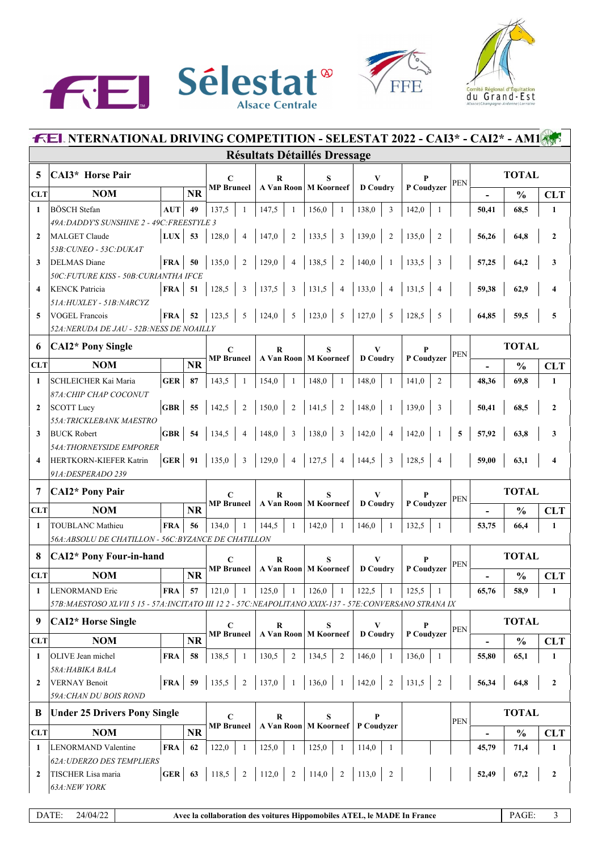





|              | <b>FEL NTERNATIONAL DRIVING COMPETITION - SELESTAT 2022 - CAI3* - CAI2* - AM18</b>                        |                               |           |                                   |                                     |                              |                                                                              |                         |            |                          |               |                  |  |  |
|--------------|-----------------------------------------------------------------------------------------------------------|-------------------------------|-----------|-----------------------------------|-------------------------------------|------------------------------|------------------------------------------------------------------------------|-------------------------|------------|--------------------------|---------------|------------------|--|--|
|              |                                                                                                           |                               |           |                                   | <b>Résultats Détaillés Dressage</b> |                              |                                                                              |                         |            |                          |               |                  |  |  |
| 5            | <b>CAI3*</b> Horse Pair                                                                                   |                               |           | $\mathbf C$                       | $\bf R$                             | S                            | V                                                                            |                         | <b>PEN</b> |                          | <b>TOTAL</b>  |                  |  |  |
| <b>CLT</b>   | <b>NOM</b>                                                                                                |                               | <b>NR</b> | <b>MP</b> Bruneel                 |                                     | A Van Roon   M Koorneef      | <b>D</b> Coudry                                                              | P Coudvzer              |            |                          | $\frac{0}{0}$ | <b>CLT</b>       |  |  |
| $\mathbf{1}$ | <b>BÖSCH</b> Stefan                                                                                       | <b>AUT</b>                    | 49        | 137,5<br>1                        | 147,5<br>-1                         | 156,0<br>1                   | 138,0<br>3                                                                   | 142,0<br>$\mathbf{1}$   |            | 50,41                    | 68,5          | $\mathbf{1}$     |  |  |
|              | 49A: DADDY'S SUNSHINE 2 - 49C: FREESTYLE 3                                                                |                               |           |                                   |                                     |                              |                                                                              |                         |            |                          |               |                  |  |  |
| $\mathbf{2}$ | <b>MALGET Claude</b>                                                                                      | $LUX$ 53                      |           | 128,0<br>$\overline{4}$           | 147,0<br>$\sqrt{2}$                 | 133,5<br>3                   | 139,0<br>$\overline{2}$                                                      | $\overline{2}$<br>135,0 |            | 56,26                    | 64,8          | $\mathbf{2}$     |  |  |
|              | 53B: CUNEO - 53C: DUKAT                                                                                   |                               |           |                                   |                                     |                              |                                                                              |                         |            |                          |               |                  |  |  |
| 3            | <b>DELMAS</b> Diane<br>50C:FUTURE KISS - 50B:CURIANTHA IFCE                                               | FRA                           | - 50      | 135,0<br>$\overline{2}$           | 129,0<br>$\overline{4}$             | 138,5<br>$\overline{2}$      | 140,0                                                                        | 133,5<br>3              |            | 57,25                    | 64,2          | 3                |  |  |
| 4            | <b>KENCK Patricia</b>                                                                                     | FRA                           | 51        | 128,5<br>3                        | 137,5<br>3                          | 131,5<br>$\overline{4}$      | 133,0<br>$\overline{4}$                                                      | 131,5                   |            | 59,38                    | 62,9          | 4                |  |  |
|              | 51A: HUXLEY - 51B: NARCYZ                                                                                 |                               |           |                                   |                                     |                              |                                                                              |                         |            |                          |               |                  |  |  |
| 5            | <b>VOGEL Francois</b>                                                                                     | FRA                           | 52        | 5<br>123,5                        | 124,0<br>5                          | $5\overline{5}$<br>123,0     | 127,0<br>$5\overline{5}$                                                     | 128,5<br>5              |            | 64,85                    | 59.5          | 5                |  |  |
|              | <i>52A:NERUDA DE JAU - 52B:NESS DE NOAILLY</i>                                                            |                               |           |                                   |                                     |                              |                                                                              |                         |            |                          |               |                  |  |  |
| 6            | <b>CAI2*</b> Pony Single                                                                                  |                               |           | C                                 | R                                   | S                            |                                                                              |                         | <b>PEN</b> |                          | <b>TOTAL</b>  |                  |  |  |
| <b>CLT</b>   | <b>NOM</b>                                                                                                |                               | <b>NR</b> | <b>MP</b> Bruneel                 |                                     | A Van Roon M Koorneef        | <b>D</b> Coudry                                                              | P Coudvzer              |            |                          | $\frac{0}{0}$ | <b>CLT</b>       |  |  |
| 1            | SCHLEICHER Kai Maria                                                                                      | GER                           | 87        | 143,5<br>-1                       | 154,0<br>-1                         | 148,0<br>1                   | 148,0<br>$\mathbf{1}$                                                        | 141,0<br>$\overline{2}$ |            | 48,36                    | 69,8          | $\mathbf{1}$     |  |  |
|              | 87A: CHIP CHAP COCONUT                                                                                    |                               |           |                                   |                                     |                              |                                                                              |                         |            |                          |               |                  |  |  |
| $\mathbf{2}$ | <b>SCOTT Lucy</b>                                                                                         | GBR                           | 55        | 142,5<br>$\overline{2}$           | 150,0<br>$\sqrt{2}$                 | 141,5<br>2                   | 148,0                                                                        | 139,0<br>$\overline{3}$ |            | 50,41                    | 68,5          | $\mathbf{2}$     |  |  |
|              | 55A: TRICKLEBANK MAESTRO                                                                                  |                               |           |                                   |                                     |                              |                                                                              |                         |            |                          |               |                  |  |  |
| 3            | <b>BUCK Robert</b>                                                                                        | GBR                           | 54        | 134,5<br>$\overline{\mathcal{A}}$ | 148,0<br>3                          | 138,0<br>3                   | 142,0                                                                        | 142,0                   | 5          | 57,92                    | 63,8          | 3                |  |  |
|              | <b>54A: THORNEYSIDE EMPORER</b>                                                                           | GER   $91$                    |           |                                   |                                     | $\overline{4}$               |                                                                              |                         |            |                          |               |                  |  |  |
| 4            | HERTKORN-KIEFER Katrin<br>91A: DESPERADO 239                                                              |                               |           | 3<br>135.0                        | 129,0<br>$\overline{4}$             | 127,5                        | 144,5<br>$\overline{\mathbf{3}}$                                             | 128,5<br>$\overline{4}$ |            | 59,00                    | 63,1          | 4                |  |  |
|              |                                                                                                           |                               |           |                                   |                                     |                              |                                                                              |                         |            |                          |               |                  |  |  |
| 7            | <b>CAI2*</b> Pony Pair                                                                                    |                               |           | $\mathbf C$<br><b>MP</b> Bruneel  | R                                   | S<br>A Van Roon   M Koorneef | <b>D</b> Coudry                                                              | P Coudvzer              | <b>PEN</b> |                          | <b>TOTAL</b>  |                  |  |  |
| <b>CLT</b>   | <b>NOM</b>                                                                                                |                               | <b>NR</b> |                                   |                                     |                              |                                                                              |                         |            |                          | $\frac{0}{0}$ | <b>CLT</b>       |  |  |
| $\mathbf{1}$ | <b>TOUBLANC Mathieu</b>                                                                                   | <b>FRA</b>                    | 56        | 134,0<br>-1                       | 144,5<br>-1                         | 142,0<br>$\mathbf{1}$        | 146,0<br>$\mathbf{1}$                                                        | 132,5<br>$\mathbf{1}$   |            | 53,75                    | 66,4          | $\mathbf{1}$     |  |  |
|              | 56A: ABSOLU DE CHATILLON - 56C: BYZANCE DE CHATILLON                                                      |                               |           |                                   |                                     |                              |                                                                              |                         |            |                          |               |                  |  |  |
| 8            | <b>CAI2*</b> Pony Four-in-hand                                                                            |                               |           | $\mathbf C$                       | R                                   | S                            | V                                                                            |                         | <b>PEN</b> | <b>TOTAL</b>             |               |                  |  |  |
| <b>CLT</b>   | <b>NOM</b>                                                                                                |                               | <b>NR</b> | <b>MP</b> Bruneel                 |                                     | A Van Roon   M Koorneef      | <b>D</b> Coudry                                                              | P Coudvzer              |            |                          | $\frac{0}{0}$ | <b>CLT</b>       |  |  |
| 1            | <b>LENORMAND Eric</b>                                                                                     | <b>FRA</b>                    | 57        | 121,0<br>1                        | 125,0<br>-1                         | 126,0<br>1                   | 122,5<br>1                                                                   | 125,5                   |            | 65,76                    | 58,9          | 1                |  |  |
|              | 57B: MAESTOSO XLVII 5 15 - 57A: INCITATO III 12 2 - 57C: NEAPOLITANO XXIX-137 - 57E: CONVERSANO STRANA IX |                               |           |                                   |                                     |                              |                                                                              |                         |            |                          |               |                  |  |  |
| 9            | <b>CAI2*</b> Horse Single                                                                                 |                               |           | $\mathbf C$                       | $\bf R$                             | S                            | V                                                                            | P                       | PEN        |                          | <b>TOTAL</b>  |                  |  |  |
| <b>CLT</b>   | <b>NOM</b>                                                                                                |                               | <b>NR</b> | <b>MP</b> Bruneel                 | A Van Roon                          | <b>M</b> Koorneef            | <b>D</b> Coudry                                                              | P Coudyzer              |            | $\overline{\phantom{a}}$ | $\frac{0}{0}$ | <b>CLT</b>       |  |  |
| 1            | OLIVE Jean michel                                                                                         | <b>FRA</b>                    | 58        | 138,5<br>-1                       | 130,5<br>$\overline{2}$             | 134,5<br>2                   | 146,0<br>$\mathbf{1}$                                                        | 136,0<br>-1             |            | 55,80                    | 65,1          | $\mathbf{1}$     |  |  |
|              | 58A: HABIKA BALA                                                                                          |                               |           |                                   |                                     |                              |                                                                              |                         |            |                          |               |                  |  |  |
| $\mathbf{2}$ | <b>VERNAY Benoit</b>                                                                                      | $FRA$ 59                      |           | 135,5<br>$\overline{2}$           | $137,0$   1                         | 136,0<br>$\overline{1}$      | 142,0<br>2                                                                   | 131,5<br>$\overline{2}$ |            | 56,34                    | 64,8          | $\mathbf{2}$     |  |  |
|              | 59A: CHAN DU BOIS ROND                                                                                    |                               |           |                                   |                                     |                              |                                                                              |                         |            |                          |               |                  |  |  |
| B            | <b>Under 25 Drivers Pony Single</b>                                                                       |                               |           | C<br><b>MP</b> Bruneel            | $\bf R$                             | S<br>A Van Roon   M Koorneef | P<br>P Coudyzer                                                              |                         | PEN        |                          | <b>TOTAL</b>  |                  |  |  |
| <b>CLT</b>   | <b>NOM</b>                                                                                                |                               | <b>NR</b> |                                   |                                     |                              |                                                                              |                         |            |                          | $\frac{0}{0}$ | <b>CLT</b>       |  |  |
| 1            | LENORMAND Valentine                                                                                       | <b>FRA</b>                    | 62        | 122,0<br>1                        | 125,0<br>$\mathbf{1}$               | 125,0<br>$\mathbf{1}$        | 114,0<br>1                                                                   |                         |            | 45,79                    | 71,4          | 1                |  |  |
|              | <b>62A: UDERZO DES TEMPLIERS</b>                                                                          |                               |           |                                   |                                     |                              |                                                                              |                         |            |                          |               |                  |  |  |
| 2            | TISCHER Lisa maria                                                                                        | GER $\begin{array}{ c c }$ 63 |           | $118,5$ 2                         | 112,0   2   114,0                   |                              | $\begin{array}{ c c c c c c c c } \hline 2 & 113,0 & 2 \\\hline \end{array}$ |                         |            | 52,49                    | 67,2          | $\boldsymbol{2}$ |  |  |
|              | 63A:NEW YORK                                                                                              |                               |           |                                   |                                     |                              |                                                                              |                         |            |                          |               |                  |  |  |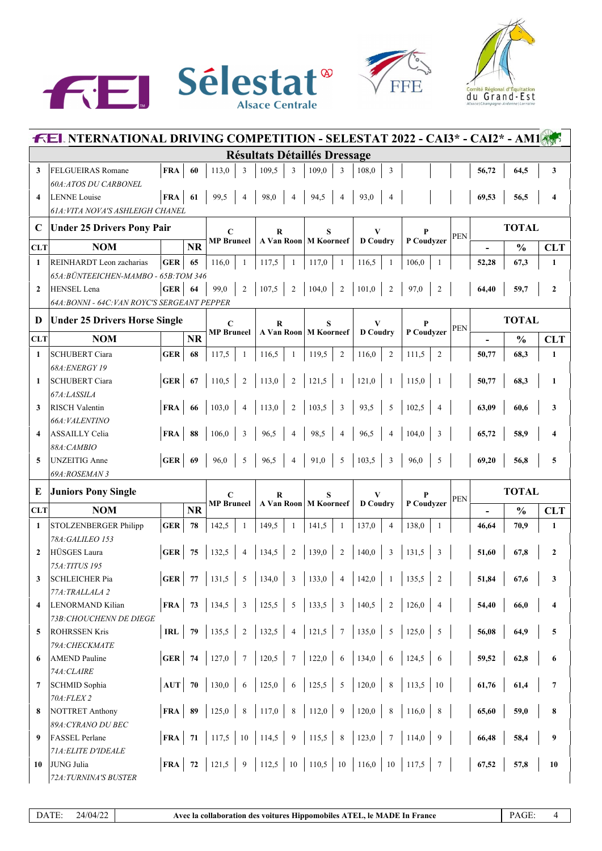





| <b>FEL NTERNATIONAL DRIVING COMPETITION - SELESTAT 2022 - CAI3* - CAI2* - AM1</b> |                                                                |            |           |                                  |                 |                                                                             |                         |                                     |                              |                      |                 |              |                |            |       |               |                         |
|-----------------------------------------------------------------------------------|----------------------------------------------------------------|------------|-----------|----------------------------------|-----------------|-----------------------------------------------------------------------------|-------------------------|-------------------------------------|------------------------------|----------------------|-----------------|--------------|----------------|------------|-------|---------------|-------------------------|
|                                                                                   |                                                                |            |           |                                  |                 | <b>Résultats Détaillés Dressage</b>                                         |                         |                                     |                              |                      |                 |              |                |            |       |               |                         |
| 3                                                                                 | FELGUEIRAS Romane                                              | <b>FRA</b> | 60        | 113,0                            | 3               | 109,5                                                                       | 3                       | 109,0                               | 3                            | 108,0                | 3               |              |                |            | 56,72 | 64,5          | 3                       |
|                                                                                   | <b>60A: ATOS DU CARBONEL</b>                                   |            |           |                                  |                 |                                                                             |                         |                                     |                              |                      |                 |              |                |            |       |               |                         |
| $\overline{\mathbf{4}}$                                                           | <b>LENNE</b> Louise                                            | <b>FRA</b> | 61        | 99,5                             | $\overline{4}$  | 98,0                                                                        | $\overline{4}$          | 94,5                                | $\overline{4}$               | 93,0                 | $\overline{4}$  |              |                |            | 69,53 | 56,5          | $\overline{\mathbf{4}}$ |
|                                                                                   | <b>61A: VITA NOVA'S ASHLEIGH CHANEL</b>                        |            |           |                                  |                 |                                                                             |                         |                                     |                              |                      |                 |              |                |            |       |               |                         |
| $\mathbf C$                                                                       | <b>Under 25 Drivers Pony Pair</b>                              |            |           | $\mathbf C$                      |                 | $\bf{R}$                                                                    |                         |                                     |                              | V                    |                 |              |                | <b>PEN</b> |       | <b>TOTAL</b>  |                         |
| <b>CLT</b>                                                                        | <b>NOM</b>                                                     |            | <b>NR</b> | <b>MP</b> Bruneel                |                 |                                                                             |                         | A Van Roon   M Koorneef             |                              | <b>D</b> Coudry      |                 | P Coudvzer   |                |            |       | $\frac{0}{0}$ | <b>CLT</b>              |
| $\mathbf{1}$                                                                      | REINHARDT Leon zacharias                                       | <b>GER</b> | 65        | 116,0                            | 1               | 117,5                                                                       | $\mathbf{1}$            | 117,0                               | 1                            | 116,5                | 1               | 106,0        | $\overline{1}$ |            | 52,28 | 67,3          | $\mathbf{1}$            |
|                                                                                   | 65A: BÜNTEEICHEN-MAMBO - 65B: TOM 346                          |            |           |                                  |                 |                                                                             |                         |                                     |                              |                      |                 |              |                |            |       |               |                         |
| $\mathbf{2}$                                                                      | <b>HENSEL</b> Lena                                             | <b>GER</b> | 64        | 99,0                             | $\overline{2}$  | 107,5                                                                       | $\overline{2}$          | 104,0                               | $\overline{2}$               | 101,0                | $\overline{2}$  | 97,0         | $\overline{2}$ |            | 64,40 | 59,7          | $\mathbf{2}$            |
|                                                                                   | 64A: BONNI - 64C: VAN ROYC'S SERGEANT PEPPER                   |            |           |                                  |                 |                                                                             |                         |                                     |                              |                      |                 |              |                |            |       |               |                         |
|                                                                                   | <b>TOTAL</b><br><b>Under 25 Drivers Horse Single</b><br>D<br>V |            |           |                                  |                 |                                                                             |                         |                                     |                              |                      |                 |              |                |            |       |               |                         |
|                                                                                   |                                                                |            |           | $\mathbf C$<br><b>MP</b> Bruneel |                 | R                                                                           |                         |                                     | S<br>A Van Roon   M Koorneef |                      | <b>D</b> Coudry | P Coudyzer   |                | <b>PEN</b> |       |               |                         |
| <b>CLT</b>                                                                        | <b>NOM</b>                                                     |            | NR        |                                  |                 |                                                                             |                         |                                     |                              |                      |                 |              |                |            |       | $\frac{0}{0}$ | <b>CLT</b>              |
| $\mathbf{1}$                                                                      | <b>SCHUBERT Ciara</b>                                          | <b>GER</b> | 68        | 117,5                            | -1              | 116,5                                                                       | -1                      | 119,5                               | $\overline{2}$               | 116,0                | $\overline{2}$  | $111,5$   2  |                |            | 50,77 | 68,3          | $\mathbf{1}$            |
|                                                                                   | 68A: ENERGY 19                                                 |            |           |                                  |                 |                                                                             |                         |                                     |                              |                      |                 |              |                |            |       |               |                         |
| 1                                                                                 | <b>SCHUBERT Ciara</b>                                          | <b>GER</b> | 67        | 110,5                            | $\overline{2}$  | 113,0                                                                       | $\overline{2}$          | 121,5                               | -1                           | 121,0                | $\overline{1}$  | 115,0        | $\overline{1}$ |            | 50,77 | 68,3          | $\mathbf{1}$            |
|                                                                                   | 67A:LASSILA                                                    |            |           |                                  |                 |                                                                             |                         |                                     |                              |                      |                 |              |                |            |       |               |                         |
| 3                                                                                 | <b>RISCH Valentin</b>                                          | <b>FRA</b> | 66        | 103,0                            | $\overline{4}$  | 113,0                                                                       | $\overline{2}$          | 103,5                               | 3                            | 93,5                 | 5               | 102,5        | $\overline{4}$ |            | 63,09 | 60,6          | 3                       |
| 4                                                                                 | 66A: VALENTINO<br><b>ASSAILLY Celia</b>                        |            | 88        |                                  | 3               |                                                                             | $\overline{4}$          |                                     |                              |                      | $\overline{4}$  |              | 3              |            |       |               | $\overline{\mathbf{4}}$ |
|                                                                                   | 88A: CAMBIO                                                    | <b>FRA</b> |           | 106,0                            |                 | 96,5                                                                        |                         | 98,5                                | 4                            | 96,5                 |                 | 104,0        |                |            | 65,72 | 58,9          |                         |
| 5                                                                                 | <b>UNZEITIG</b> Anne                                           | <b>GER</b> | 69        | 96,0                             | 5               | 96,5                                                                        | $\overline{4}$          | 91,0                                | 5                            | 103,5                | $\overline{3}$  | 96,0         | 5              |            | 69,20 | 56,8          | 5                       |
|                                                                                   | 69A:ROSEMAN 3                                                  |            |           |                                  |                 |                                                                             |                         |                                     |                              |                      |                 |              |                |            |       |               |                         |
| E                                                                                 |                                                                |            |           |                                  |                 |                                                                             |                         |                                     |                              |                      |                 |              |                |            |       | <b>TOTAL</b>  |                         |
|                                                                                   | <b>Juniors Pony Single</b>                                     |            |           | C<br><b>MP</b> Bruneel           |                 | R<br>A Van Roon   M Koorneef                                                |                         | S                                   |                              | V<br><b>D</b> Coudry |                 | P Coudyzer   |                | <b>PEN</b> |       |               |                         |
| <b>CLT</b>                                                                        | <b>NOM</b>                                                     |            | <b>NR</b> |                                  |                 |                                                                             |                         |                                     |                              |                      |                 |              |                |            |       | $\frac{0}{0}$ | <b>CLT</b>              |
| 1                                                                                 | STOLZENBERGER Philipp                                          | <b>GER</b> | 78        | 142,5                            | -1              | 149,5                                                                       | -1                      | 141,5                               | -1                           | 137,0                | $\overline{4}$  | 138,0        | $\overline{1}$ |            | 46,64 | 70,9          | $\mathbf{1}$            |
| $\mathbf{2}$                                                                      | 78A: GALILEO 153<br><b>HÜSGES Laura</b>                        | <b>GER</b> | 75        | 132,5                            | $\overline{4}$  | 134,5                                                                       | $\overline{2}$          | 139,0                               | $\overline{2}$               | 140,0                | 3               | $131,5$ 3    |                |            | 51,60 | 67,8          | $\mathbf{2}$            |
|                                                                                   | 75A: TITUS 195                                                 |            |           |                                  |                 |                                                                             |                         |                                     |                              |                      |                 |              |                |            |       |               |                         |
| 3 <sup>1</sup>                                                                    | <b>SCHLEICHER Pia</b>                                          |            |           |                                  |                 | <b>GER</b>   77   131,5   5   134,0   3   133,0   4   142,0   1   135,5   2 |                         |                                     |                              |                      |                 |              |                |            | 51,84 | 67,6          |                         |
|                                                                                   | 77A:TRALLALA 2                                                 |            |           |                                  |                 |                                                                             |                         |                                     |                              |                      |                 |              |                |            |       |               |                         |
| 4                                                                                 | LENORMAND Kilian                                               | FRA        | 73        | 134,5                            | 3               | 125,5                                                                       | $5\phantom{.0}$         | 133,5                               | $\overline{\mathbf{3}}$      | 140,5                | $\overline{2}$  | 126,0        | $\overline{4}$ |            | 54,40 | 66,0          | 4                       |
|                                                                                   | <b>73B: CHOUCHENN DE DIEGE</b>                                 |            |           |                                  |                 |                                                                             |                         |                                     |                              |                      |                 |              |                |            |       |               |                         |
| 5                                                                                 | <b>ROHRSSEN Kris</b>                                           | IRL        | - 79      | 135,5                            | $\overline{2}$  | 132,5                                                                       | $\overline{\mathbf{4}}$ | 121,5                               | $7\phantom{.0}$              | 135,0                | 5               | 125,0        | 5              |            | 56,08 | 64,9          | $\sqrt{5}$              |
|                                                                                   | 79A: CHECKMATE                                                 |            |           |                                  |                 |                                                                             |                         |                                     |                              |                      |                 |              |                |            |       |               |                         |
| 6                                                                                 | <b>AMEND Pauline</b>                                           | GER        | 74        | 127,0                            | $7\phantom{.0}$ | 120,5                                                                       | $\tau$                  | 122,0                               | 6                            | 134,0                | 6               | 124,5        | 6              |            | 59,52 | 62,8          | 6                       |
|                                                                                   | 74A: CLAIRE                                                    |            |           |                                  |                 |                                                                             |                         |                                     |                              |                      |                 |              |                |            |       |               |                         |
| 7                                                                                 | <b>SCHMID Sophia</b>                                           | AUT        | - 70      | 130,0                            | 6               | 125,0                                                                       | 6                       | 125,5                               | $5\phantom{.0}$              | 120,0                | 8               | $113,5$   10 |                |            | 61,76 | 61,4          | $\overline{7}$          |
|                                                                                   | 70A: FLEX 2                                                    |            |           |                                  |                 |                                                                             |                         |                                     |                              |                      |                 |              |                |            |       |               |                         |
| 8                                                                                 | <b>NOTTRET Anthony</b>                                         | FRA        | 89        | 125,0                            | $8\phantom{.0}$ | $117,0$ 8                                                                   |                         | $112,0$ 9                           |                              | 120,0                | 8               | $116,0$ 8    |                |            | 65,60 | 59,0          | 8                       |
|                                                                                   | 89A: CYRANO DU BEC                                             |            |           |                                  |                 |                                                                             |                         |                                     |                              |                      |                 |              |                |            |       |               |                         |
| 9                                                                                 | <b>FASSEL Perlane</b>                                          | FRA        | 71        | 117,5                            | 10              | 114,5                                                                       | $\vert 9 \vert$         | $115,5$ 8                           |                              | 123,0                | $7\phantom{.0}$ | 114,0        | $\overline{9}$ |            | 66,48 | 58,4          | 9                       |
|                                                                                   | 71A: ELITE D'IDEALE                                            |            |           |                                  |                 |                                                                             |                         |                                     |                              |                      |                 |              |                |            |       |               |                         |
| 10                                                                                | JUNG Julia                                                     | FRA        | 72        | 121,5                            | 9               | $112,5$ 10                                                                  |                         | 110,5   10   116,0   10   117,5   7 |                              |                      |                 |              |                |            | 67,52 | 57,8          | 10                      |
|                                                                                   | 72A: TURNINA'S BUSTER                                          |            |           |                                  |                 |                                                                             |                         |                                     |                              |                      |                 |              |                |            |       |               |                         |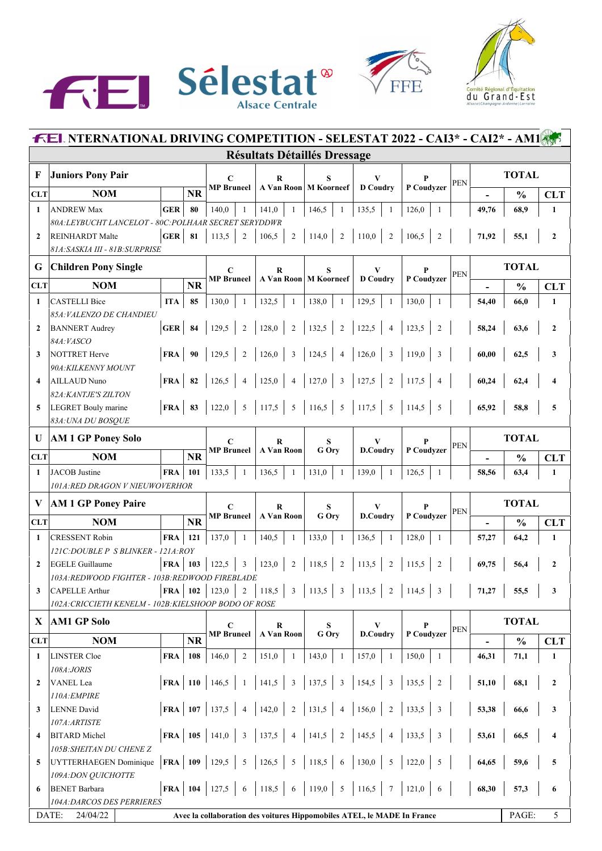





|                         | <b>FEL NTERNATIONAL DRIVING COMPETITION - SELESTAT 2022 - CAI3* - CAI2* - AM1</b> |                      |           |                         |                                                                         |                                  |                          |                         |            |       |               |                         |  |
|-------------------------|-----------------------------------------------------------------------------------|----------------------|-----------|-------------------------|-------------------------------------------------------------------------|----------------------------------|--------------------------|-------------------------|------------|-------|---------------|-------------------------|--|
|                         |                                                                                   |                      |           |                         | <b>Résultats Détaillés Dressage</b>                                     |                                  |                          |                         |            |       |               |                         |  |
| F                       | <b>Juniors Pony Pair</b>                                                          |                      |           | C<br><b>MP</b> Bruneel  | R                                                                       | S                                | V                        |                         | <b>PEN</b> |       | <b>TOTAL</b>  |                         |  |
| <b>CLT</b>              | <b>NOM</b>                                                                        |                      | <b>NR</b> |                         |                                                                         | A Van Roon   M Koorneef          | <b>D</b> Coudry          | P Coudvzer              |            |       | $\frac{0}{0}$ | <b>CLT</b>              |  |
| $\mathbf{1}$            | <b>ANDREW Max</b>                                                                 | <b>GER</b>           | 80        | 140,0<br>-1             | 141,0<br>-1                                                             | 146,5<br>1                       | 135,5<br>-1              | 126,0<br>1              |            | 49,76 | 68,9          | $\mathbf{1}$            |  |
|                         | 80A: LEYBUCHT LANCELOT - 80C: POLHAAR SECRET SERYDDWR                             |                      |           |                         |                                                                         |                                  |                          |                         |            |       |               |                         |  |
| $\mathbf{2}$            | <b>REINHARDT</b> Malte                                                            | GER                  | 81        | 113,5<br>$\overline{2}$ | 106,5<br>$\sqrt{2}$                                                     | 114,0<br>2                       | 110,0<br>$\overline{2}$  | 106,5<br>$\overline{2}$ |            | 71,92 | 55,1          | $\mathbf{2}$            |  |
|                         | 81A: SASKIA III - 81B: SURPRISE                                                   |                      |           |                         |                                                                         |                                  |                          |                         |            |       |               |                         |  |
| G                       | <b>Children Pony Single</b>                                                       |                      |           | $\mathbf C$             | $\bf R$                                                                 | S                                | V                        | P                       |            |       | <b>TOTAL</b>  |                         |  |
| <b>CLT</b>              | <b>NOM</b>                                                                        |                      | <b>NR</b> | <b>MP</b> Bruneel       |                                                                         | A Van Roon   M Koorneef          | <b>D</b> Coudry          | P Coudvzer              | <b>PEN</b> |       | $\frac{0}{0}$ | <b>CLT</b>              |  |
| $\mathbf{1}$            | <b>CASTELLI Bice</b>                                                              | <b>ITA</b>           | 85        | 130,0<br>-1             | 132,5<br>-1                                                             | 138,0<br>1                       | 129,5<br>$\mathbf{1}$    | 130,0<br>-1             |            | 54,40 | 66,0          | 1                       |  |
|                         | 85A: VALENZO DE CHANDIEU                                                          |                      |           |                         |                                                                         |                                  |                          |                         |            |       |               |                         |  |
| $\overline{2}$          | <b>BANNERT</b> Audrey                                                             | <b>GER</b>           | 84        | 129,5<br>$\overline{2}$ | 128,0<br>$\overline{2}$                                                 | 132,5<br>$\overline{2}$          | 122,5<br>$\overline{4}$  | 123,5<br>$\overline{2}$ |            | 58,24 | 63,6          | $\mathbf{2}$            |  |
|                         | 84A: VASCO                                                                        |                      |           |                         |                                                                         |                                  |                          |                         |            |       |               |                         |  |
| 3                       | <b>NOTTRET</b> Herve                                                              | <b>FRA</b>           | 90        | 129,5<br>$\overline{2}$ | 126,0<br>3                                                              | 124,5<br>$\overline{4}$          | 126,0<br>3               | 119,0<br>3              |            | 60,00 | 62,5          | 3                       |  |
|                         | 90A: KILKENNY MOUNT                                                               |                      |           |                         |                                                                         |                                  |                          |                         |            |       |               |                         |  |
| $\overline{\mathbf{4}}$ | AILLAUD Nuno                                                                      | <b>FRA</b>           | 82        | 126,5<br>$\overline{4}$ | 125,0<br>$\overline{4}$                                                 | 127,0<br>$\overline{\mathbf{3}}$ | 127,5<br>$\sqrt{2}$      | 117,5<br>$\overline{4}$ |            | 60,24 | 62,4          | 4                       |  |
|                         | 82A: KANTJE'S ZILTON                                                              |                      |           |                         |                                                                         |                                  |                          |                         |            |       |               |                         |  |
| 5                       | <b>LEGRET Bouly marine</b>                                                        | <b>FRA</b>           | 83        | 122,0<br>5              | 117,5<br>$\overline{5}$                                                 | $116,5$ 5 117,5                  | $5\overline{5}$          | 114,5<br>5              |            | 65,92 | 58,8          | 5                       |  |
|                         | 83A: UNA DU BOSQUE                                                                |                      |           |                         |                                                                         |                                  |                          |                         |            |       |               |                         |  |
| U                       | <b>AM 1 GP Poney Solo</b>                                                         |                      |           | C                       | R                                                                       | S                                | V                        |                         |            |       | <b>TOTAL</b>  |                         |  |
| <b>CLT</b>              | <b>NOM</b>                                                                        |                      | <b>NR</b> | <b>MP</b> Bruneel       | <b>A Van Roon</b>                                                       | G Ory                            | D.Coudry                 | P Coudvzer              | <b>PEN</b> |       | $\frac{0}{0}$ |                         |  |
|                         |                                                                                   |                      |           |                         |                                                                         |                                  |                          |                         |            |       |               | <b>CLT</b>              |  |
| $\mathbf{1}$            | <b>JACOB</b> Justine<br>101A:RED DRAGON V NIEUWOVERHOR                            | <b>FRA</b>           | 101       | 133,5<br>-1             | 136,5<br>-1                                                             | 131,0<br>-1                      | 139,0<br>$\overline{1}$  | 126,5                   |            | 58,56 | 63,4          | $\mathbf{1}$            |  |
|                         |                                                                                   |                      |           |                         |                                                                         |                                  |                          |                         |            |       |               |                         |  |
| V                       | <b>AM 1 GP Poney Paire</b>                                                        |                      |           | $\mathbf C$             | R                                                                       | S                                | V<br>D.Coudry            |                         | <b>PEN</b> |       | <b>TOTAL</b>  |                         |  |
| <b>CLT</b>              | <b>NOM</b>                                                                        |                      | <b>NR</b> | <b>MP</b> Bruneel       | A Van Roon                                                              | G Ory                            |                          | P Coudvzer              |            |       | $\frac{0}{0}$ | <b>CLT</b>              |  |
| $\mathbf{1}$            | <b>CRESSENT Robin</b>                                                             | <b>FRA</b>           | 121       | 137,0<br>1              | 140,5<br>-1                                                             | 133,0<br>$\mathbf{1}$            | 136,5<br>-1              | 128,0<br>-1             |            | 57,27 | 64,2          | 1                       |  |
|                         | 121C:DOUBLE P S BLINKER - 121A:ROY                                                |                      |           |                         |                                                                         |                                  |                          |                         |            |       |               |                         |  |
| $\mathbf{2}$            | <b>EGELE Guillaume</b>                                                            | $FRA$ 103            |           | 122,5<br>3              | 123,0<br>$\overline{2}$                                                 | 118,5<br>2                       | 113,5<br>$\overline{2}$  | 115,5<br>$\overline{2}$ |            | 69,75 | 56,4          | $\mathbf{2}$            |  |
|                         | 103A: REDWOOD FIGHTER - 103B: REDWOOD FIREBLADE                                   |                      |           |                         |                                                                         |                                  |                          |                         |            |       |               |                         |  |
| 3                       | <b>CAPELLE Arthur</b>                                                             | <b>FRA</b>           | 102       | 123,0<br>$\overline{2}$ | 118,5<br>3                                                              | 113,5<br>3                       | $\sqrt{2}$<br>113,5      | 114,5<br>3              |            | 71,27 | 55,5          | 3                       |  |
|                         | 102A: CRICCIETH KENELM - 102B: KIELSHOOP BODO OF ROSE                             |                      |           |                         |                                                                         |                                  |                          |                         |            |       |               |                         |  |
| X                       | <b>AM1 GP Solo</b>                                                                |                      |           | C                       | $\bf{R}$                                                                | S                                | V                        | P                       |            |       | <b>TOTAL</b>  |                         |  |
| <b>CLT</b>              | <b>NOM</b>                                                                        |                      | NR        | <b>MP</b> Bruneel       | A Van Roon                                                              | G Ory                            | D.Coudry                 | P Coudyzer              | <b>PEN</b> |       | $\frac{0}{0}$ | <b>CLT</b>              |  |
| 1                       | <b>LINSTER Cloe</b>                                                               | FRA                  | 108       | 146,0<br>2              | 151,0<br>-1                                                             | 143,0<br>-1                      | 157,0<br>-1              | 150,0<br>-1             |            | 46,31 | 71,1          | 1                       |  |
|                         | 108A:JORIS                                                                        |                      |           |                         |                                                                         |                                  |                          |                         |            |       |               |                         |  |
| $\mathbf{2}$            | VANEL Lea                                                                         | $\mathbf{FRA}$ 110   |           | 146,5<br>$\mathbf{1}$   | 141,5<br>$\mathfrak{Z}$                                                 | 137,5<br>$\overline{3}$          | 154,5<br>$\overline{3}$  | 135,5<br>$\overline{2}$ |            | 51,10 | 68,1          | $\boldsymbol{2}$        |  |
|                         | 110A: EMPIRE                                                                      |                      |           |                         |                                                                         |                                  |                          |                         |            |       |               |                         |  |
| 3                       | <b>LENNE</b> David                                                                | $\mathbf{FRA}$   107 |           | 137,5<br>$\overline{4}$ | $\overline{c}$<br>142,0                                                 | 131,5<br>$\overline{4}$          | $\overline{2}$<br>156,0  | 133,5<br>3              |            | 53,38 | 66,6          | 3                       |  |
|                         | 107A:ARTISTE                                                                      |                      |           |                         |                                                                         |                                  |                          |                         |            |       |               |                         |  |
| 4                       | <b>BITARD</b> Michel                                                              | $FRA$ 105            |           | 141,0<br>$\mathfrak{Z}$ | 137,5<br>$\overline{4}$                                                 | 141,5<br>$\overline{2}$          | 145,5<br>$\overline{4}$  | 133,5<br>3              |            | 53,61 | 66,5          | $\overline{\mathbf{4}}$ |  |
|                         | 105B: SHEITAN DU CHENE Z                                                          |                      |           |                         |                                                                         |                                  |                          |                         |            |       |               |                         |  |
| 5                       | UYTTERHAEGEN Dominique                                                            | $FRA$   109          |           | 129,5<br>5              | 126,5<br>5                                                              | 118,5<br>6                       | 130,0<br>5               | 122,0<br>5              |            | 64,65 | 59,6          | 5                       |  |
|                         | 109A: DON QUICHOTTE                                                               |                      |           |                         |                                                                         |                                  |                          |                         |            |       |               |                         |  |
| 6                       | <b>BENET</b> Barbara                                                              | $FRA$   104          |           | 127,5<br>6              | 118,5<br>$\sqrt{6}$                                                     | 119,0<br>$5\overline{5}$         | 116,5<br>$7\phantom{.0}$ | 121,0<br>6              |            | 68,30 | 57,3          | 6                       |  |
|                         | 104A: DARCOS DES PERRIERES                                                        |                      |           |                         |                                                                         |                                  |                          |                         |            |       |               |                         |  |
|                         | DATE:<br>24/04/22                                                                 |                      |           |                         | Avec la collaboration des voitures Hippomobiles ATEL, le MADE In France |                                  |                          |                         |            |       | PAGE:         | 5                       |  |